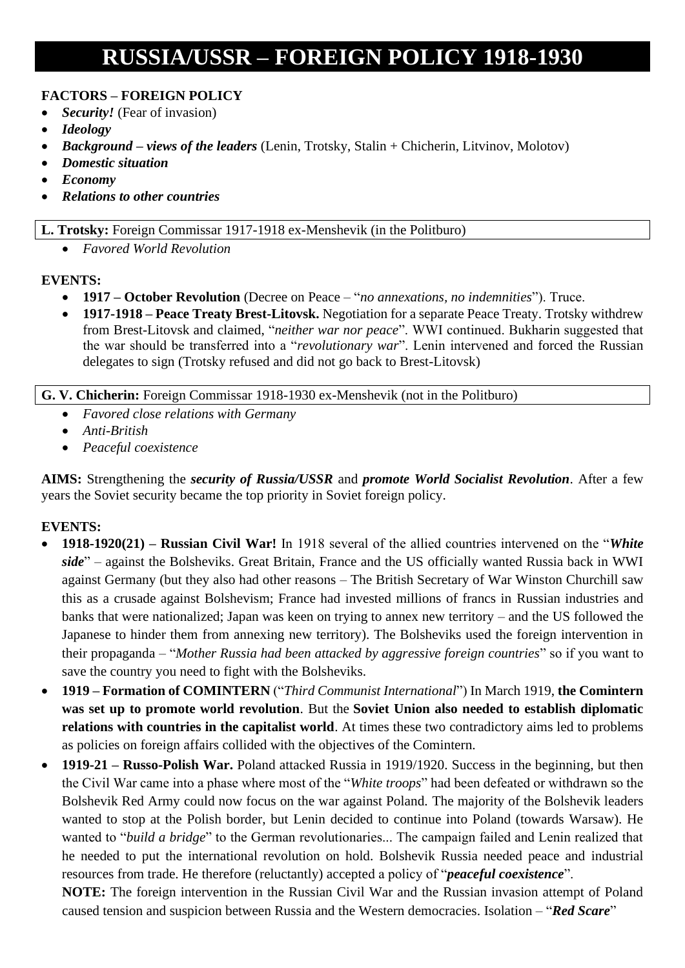# **RUSSIA/USSR – FOREIGN POLICY 1918-1930**

#### **FACTORS – FOREIGN POLICY**

- *Security!* (Fear of invasion)
- *Ideology*
- *Background – views of the leaders* (Lenin, Trotsky, Stalin + Chicherin, Litvinov, Molotov)
- *Domestic situation*
- *Economy*
- *Relations to other countries*

#### **L. Trotsky:** Foreign Commissar 1917-1918 ex-Menshevik (in the Politburo)

• *Favored World Revolution*

#### **EVENTS:**

- **1917 – October Revolution** (Decree on Peace "*no annexations, no indemnities*"). Truce.
- **1917-1918 – Peace Treaty Brest-Litovsk.** Negotiation for a separate Peace Treaty. Trotsky withdrew from Brest-Litovsk and claimed, "*neither war nor peace*". WWI continued. Bukharin suggested that the war should be transferred into a "*revolutionary war*". Lenin intervened and forced the Russian delegates to sign (Trotsky refused and did not go back to Brest-Litovsk)

#### **G. V. Chicherin:** Foreign Commissar 1918-1930 ex-Menshevik (not in the Politburo)

- *Favored close relations with Germany*
- *Anti-British*
- *Peaceful coexistence*

**AIMS:** Strengthening the *security of Russia/USSR* and *promote World Socialist Revolution*. After a few years the Soviet security became the top priority in Soviet foreign policy.

## **EVENTS:**

- **1918-1920(21) – Russian Civil War!** In 1918 several of the allied countries intervened on the "*White side*" – against the Bolsheviks. Great Britain, France and the US officially wanted Russia back in WWI against Germany (but they also had other reasons – The British Secretary of War Winston Churchill saw this as a crusade against Bolshevism; France had invested millions of francs in Russian industries and banks that were nationalized; Japan was keen on trying to annex new territory – and the US followed the Japanese to hinder them from annexing new territory). The Bolsheviks used the foreign intervention in their propaganda – "*Mother Russia had been attacked by aggressive foreign countries*" so if you want to save the country you need to fight with the Bolsheviks.
- **1919 – Formation of COMINTERN** ("*Third Communist International*") In March 1919, **the Comintern was set up to promote world revolution**. But the **Soviet Union also needed to establish diplomatic relations with countries in the capitalist world**. At times these two contradictory aims led to problems as policies on foreign affairs collided with the objectives of the Comintern.
- **1919-21 – Russo-Polish War.** Poland attacked Russia in 1919/1920. Success in the beginning, but then the Civil War came into a phase where most of the "*White troops*" had been defeated or withdrawn so the Bolshevik Red Army could now focus on the war against Poland. The majority of the Bolshevik leaders wanted to stop at the Polish border, but Lenin decided to continue into Poland (towards Warsaw). He wanted to "*build a bridge*" to the German revolutionaries... The campaign failed and Lenin realized that he needed to put the international revolution on hold. Bolshevik Russia needed peace and industrial resources from trade. He therefore (reluctantly) accepted a policy of "*peaceful coexistence*".

**NOTE:** The foreign intervention in the Russian Civil War and the Russian invasion attempt of Poland caused tension and suspicion between Russia and the Western democracies. Isolation – "*Red Scare*"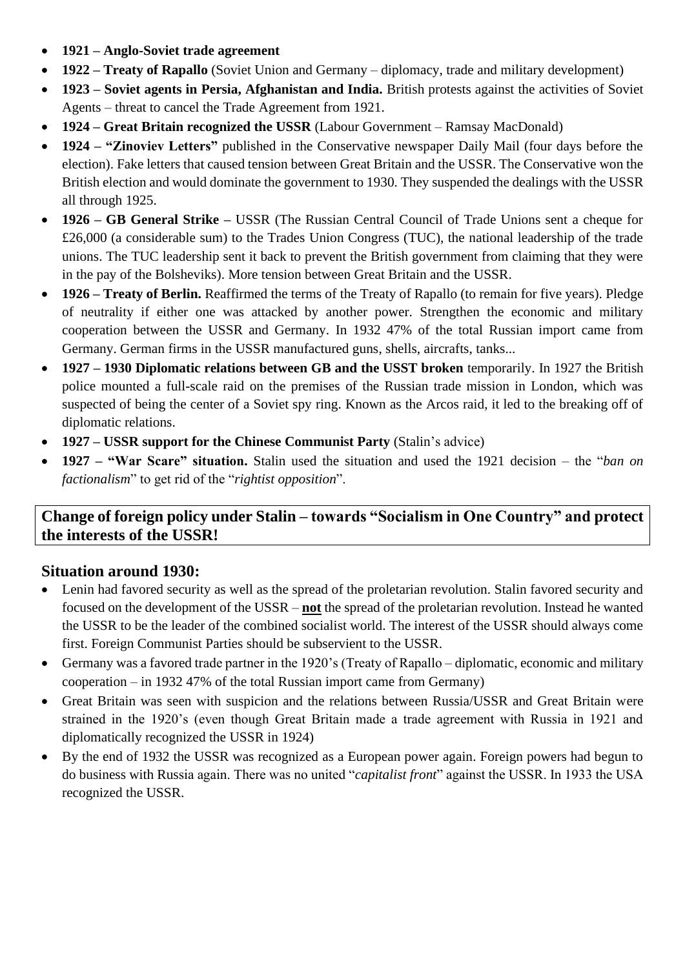- **1921 – Anglo-Soviet trade agreement**
- **1922 – Treaty of Rapallo** (Soviet Union and Germany diplomacy, trade and military development)
- **1923 – Soviet agents in Persia, Afghanistan and India.** British protests against the activities of Soviet Agents – threat to cancel the Trade Agreement from 1921.
- **1924 – Great Britain recognized the USSR** (Labour Government Ramsay MacDonald)
- **1924 – "Zinoviev Letters"** published in the Conservative newspaper Daily Mail (four days before the election). Fake letters that caused tension between Great Britain and the USSR. The Conservative won the British election and would dominate the government to 1930. They suspended the dealings with the USSR all through 1925.
- **1926 – GB General Strike –** USSR (The Russian Central Council of Trade Unions sent a cheque for £26,000 (a considerable sum) to the Trades Union Congress (TUC), the national leadership of the trade unions. The TUC leadership sent it back to prevent the British government from claiming that they were in the pay of the Bolsheviks). More tension between Great Britain and the USSR.
- **1926 – Treaty of Berlin.** Reaffirmed the terms of the Treaty of Rapallo (to remain for five years). Pledge of neutrality if either one was attacked by another power. Strengthen the economic and military cooperation between the USSR and Germany. In 1932 47% of the total Russian import came from Germany. German firms in the USSR manufactured guns, shells, aircrafts, tanks...
- **1927 – 1930 Diplomatic relations between GB and the USST broken** temporarily. In 1927 the British police mounted a full-scale raid on the premises of the Russian trade mission in London, which was suspected of being the center of a Soviet spy ring. Known as the Arcos raid, it led to the breaking off of diplomatic relations.
- **1927 – USSR support for the Chinese Communist Party** (Stalin's advice)
- **1927 – "War Scare" situation.** Stalin used the situation and used the 1921 decision the "*ban on factionalism*" to get rid of the "*rightist opposition*".

# **Change of foreign policy under Stalin – towards "Socialism in One Country" and protect the interests of the USSR!**

# **Situation around 1930:**

- Lenin had favored security as well as the spread of the proletarian revolution. Stalin favored security and focused on the development of the USSR – **not** the spread of the proletarian revolution. Instead he wanted the USSR to be the leader of the combined socialist world. The interest of the USSR should always come first. Foreign Communist Parties should be subservient to the USSR.
- Germany was a favored trade partner in the 1920's (Treaty of Rapallo diplomatic, economic and military cooperation – in 1932 47% of the total Russian import came from Germany)
- Great Britain was seen with suspicion and the relations between Russia/USSR and Great Britain were strained in the 1920's (even though Great Britain made a trade agreement with Russia in 1921 and diplomatically recognized the USSR in 1924)
- By the end of 1932 the USSR was recognized as a European power again. Foreign powers had begun to do business with Russia again. There was no united "*capitalist front*" against the USSR. In 1933 the USA recognized the USSR.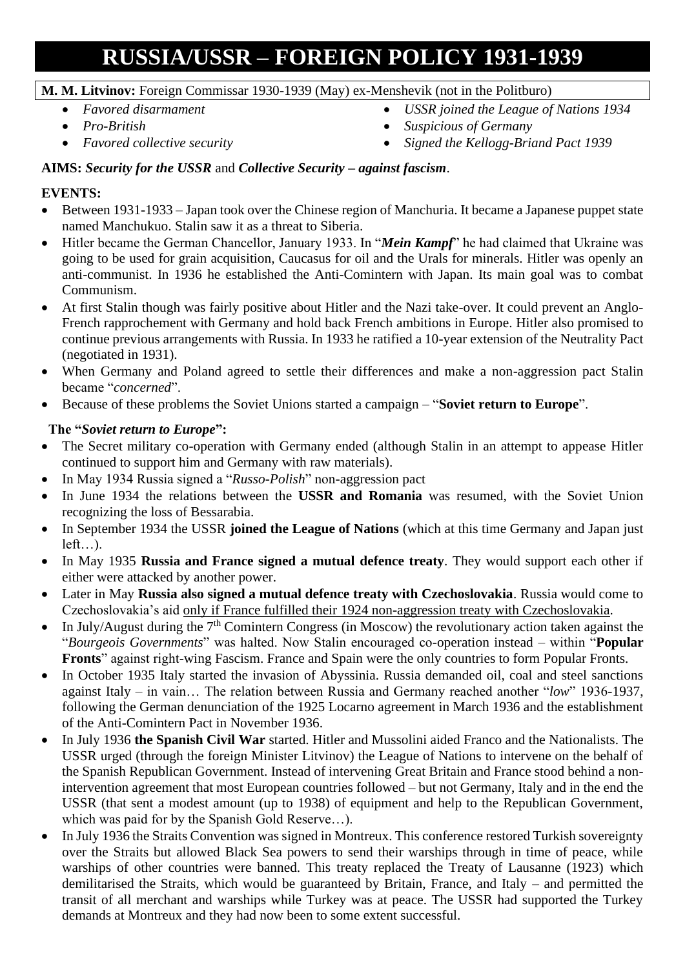# **RUSSIA/USSR – FOREIGN POLICY 1931-1939**

#### **M. M. Litvinov:** Foreign Commissar 1930-1939 (May) ex-Menshevik (not in the Politburo)

- *Favored disarmament*
- *Pro-British*
- *Favored collective security*
- *USSR joined the League of Nations 1934*
- *Suspicious of Germany*
- *Signed the Kellogg-Briand Pact 1939*

# **AIMS:** *Security for the USSR* and *Collective Security – against fascism*.

# **EVENTS:**

- Between 1931-1933 Japan took over the Chinese region of Manchuria. It became a Japanese puppet state named Manchukuo. Stalin saw it as a threat to Siberia.
- Hitler became the German Chancellor, January 1933. In "*Mein Kampf*" he had claimed that Ukraine was going to be used for grain acquisition, Caucasus for oil and the Urals for minerals. Hitler was openly an anti-communist. In 1936 he established the Anti-Comintern with Japan. Its main goal was to combat Communism.
- At first Stalin though was fairly positive about Hitler and the Nazi take-over. It could prevent an Anglo-French rapprochement with Germany and hold back French ambitions in Europe. Hitler also promised to continue previous arrangements with Russia. In 1933 he ratified a 10-year extension of the Neutrality Pact (negotiated in 1931).
- When Germany and Poland agreed to settle their differences and make a non-aggression pact Stalin became "*concerned*".
- Because of these problems the Soviet Unions started a campaign "**Soviet return to Europe**".

## **The "***Soviet return to Europe***":**

- The Secret military co-operation with Germany ended (although Stalin in an attempt to appease Hitler continued to support him and Germany with raw materials).
- In May 1934 Russia signed a "*Russo-Polish*" non-aggression pact
- In June 1934 the relations between the **USSR and Romania** was resumed, with the Soviet Union recognizing the loss of Bessarabia.
- In September 1934 the USSR **joined the League of Nations** (which at this time Germany and Japan just  $left...$ ).
- In May 1935 **Russia and France signed a mutual defence treaty**. They would support each other if either were attacked by another power.
- Later in May **Russia also signed a mutual defence treaty with Czechoslovakia**. Russia would come to Czechoslovakia's aid only if France fulfilled their 1924 non-aggression treaty with Czechoslovakia.
- In July/August during the  $7<sup>th</sup>$  Comintern Congress (in Moscow) the revolutionary action taken against the "*Bourgeois Governments*" was halted. Now Stalin encouraged co-operation instead – within "**Popular Fronts**" against right-wing Fascism. France and Spain were the only countries to form Popular Fronts.
- In October 1935 Italy started the invasion of Abyssinia. Russia demanded oil, coal and steel sanctions against Italy – in vain… The relation between Russia and Germany reached another "*low*" 1936-1937, following the German denunciation of the 1925 Locarno agreement in March 1936 and the establishment of the Anti-Comintern Pact in November 1936.
- In July 1936 **the Spanish Civil War** started. Hitler and Mussolini aided Franco and the Nationalists. The USSR urged (through the foreign Minister Litvinov) the League of Nations to intervene on the behalf of the Spanish Republican Government. Instead of intervening Great Britain and France stood behind a nonintervention agreement that most European countries followed – but not Germany, Italy and in the end the USSR (that sent a modest amount (up to 1938) of equipment and help to the Republican Government, which was paid for by the Spanish Gold Reserve…).
- In July 1936 the Straits Convention was signed in Montreux. This conference restored Turkish sovereignty over the Straits but allowed Black Sea powers to send their warships through in time of peace, while warships of other countries were banned. This treaty replaced the Treaty of Lausanne (1923) which demilitarised the Straits, which would be guaranteed by Britain, France, and Italy – and permitted the transit of all merchant and warships while Turkey was at peace. The USSR had supported the Turkey demands at Montreux and they had now been to some extent successful.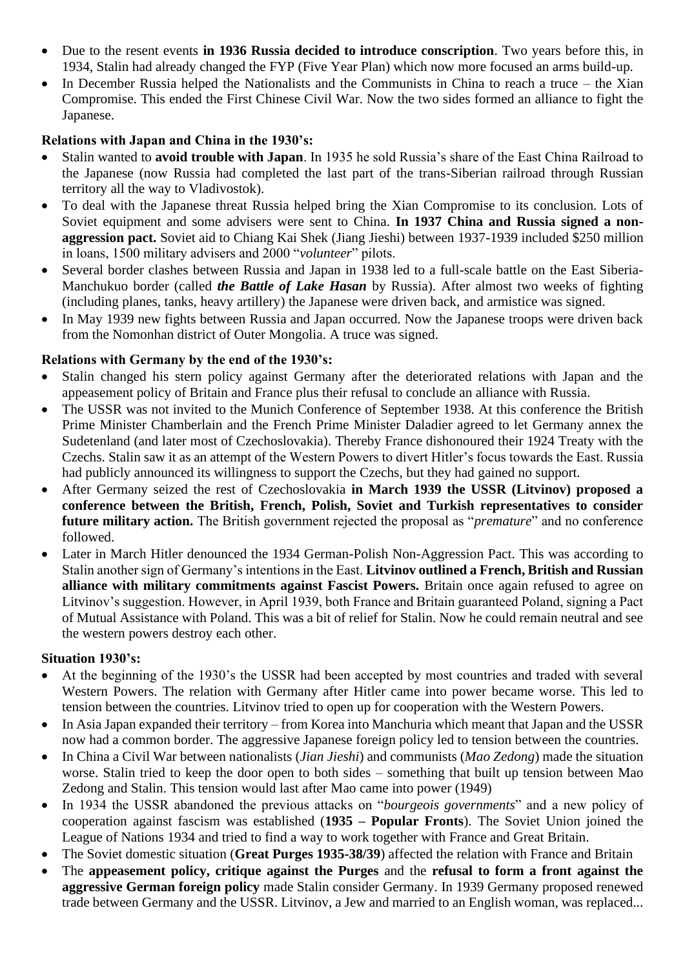- Due to the resent events **in 1936 Russia decided to introduce conscription**. Two years before this, in 1934, Stalin had already changed the FYP (Five Year Plan) which now more focused an arms build-up.
- In December Russia helped the Nationalists and the Communists in China to reach a truce the Xian Compromise. This ended the First Chinese Civil War. Now the two sides formed an alliance to fight the Japanese.

## **Relations with Japan and China in the 1930's:**

- Stalin wanted to **avoid trouble with Japan**. In 1935 he sold Russia's share of the East China Railroad to the Japanese (now Russia had completed the last part of the trans-Siberian railroad through Russian territory all the way to Vladivostok).
- To deal with the Japanese threat Russia helped bring the Xian Compromise to its conclusion. Lots of Soviet equipment and some advisers were sent to China. **In 1937 China and Russia signed a nonaggression pact.** Soviet aid to Chiang Kai Shek (Jiang Jieshi) between 1937-1939 included \$250 million in loans, 1500 military advisers and 2000 "*volunteer*" pilots.
- Several border clashes between Russia and Japan in 1938 led to a full-scale battle on the East Siberia-Manchukuo border (called *the Battle of Lake Hasan* by Russia). After almost two weeks of fighting (including planes, tanks, heavy artillery) the Japanese were driven back, and armistice was signed.
- In May 1939 new fights between Russia and Japan occurred. Now the Japanese troops were driven back from the Nomonhan district of Outer Mongolia. A truce was signed.

## **Relations with Germany by the end of the 1930's:**

- Stalin changed his stern policy against Germany after the deteriorated relations with Japan and the appeasement policy of Britain and France plus their refusal to conclude an alliance with Russia.
- The USSR was not invited to the Munich Conference of September 1938. At this conference the British Prime Minister Chamberlain and the French Prime Minister Daladier agreed to let Germany annex the Sudetenland (and later most of Czechoslovakia). Thereby France dishonoured their 1924 Treaty with the Czechs. Stalin saw it as an attempt of the Western Powers to divert Hitler's focus towards the East. Russia had publicly announced its willingness to support the Czechs, but they had gained no support.
- After Germany seized the rest of Czechoslovakia **in March 1939 the USSR (Litvinov) proposed a conference between the British, French, Polish, Soviet and Turkish representatives to consider future military action.** The British government rejected the proposal as "*premature*" and no conference followed.
- Later in March Hitler denounced the 1934 German-Polish Non-Aggression Pact. This was according to Stalin another sign of Germany's intentions in the East. **Litvinov outlined a French, British and Russian alliance with military commitments against Fascist Powers.** Britain once again refused to agree on Litvinov's suggestion. However, in April 1939, both France and Britain guaranteed Poland, signing a Pact of Mutual Assistance with Poland. This was a bit of relief for Stalin. Now he could remain neutral and see the western powers destroy each other.

#### **Situation 1930's:**

- At the beginning of the 1930's the USSR had been accepted by most countries and traded with several Western Powers. The relation with Germany after Hitler came into power became worse. This led to tension between the countries. Litvinov tried to open up for cooperation with the Western Powers.
- In Asia Japan expanded their territory from Korea into Manchuria which meant that Japan and the USSR now had a common border. The aggressive Japanese foreign policy led to tension between the countries.
- In China a Civil War between nationalists (*Jian Jieshi*) and communists (*Mao Zedong*) made the situation worse. Stalin tried to keep the door open to both sides – something that built up tension between Mao Zedong and Stalin. This tension would last after Mao came into power (1949)
- In 1934 the USSR abandoned the previous attacks on "*bourgeois governments*" and a new policy of cooperation against fascism was established (**1935 – Popular Fronts**). The Soviet Union joined the League of Nations 1934 and tried to find a way to work together with France and Great Britain.
- The Soviet domestic situation (**Great Purges 1935-38/39**) affected the relation with France and Britain
- The **appeasement policy, critique against the Purges** and the **refusal to form a front against the aggressive German foreign policy** made Stalin consider Germany. In 1939 Germany proposed renewed trade between Germany and the USSR. Litvinov, a Jew and married to an English woman, was replaced...